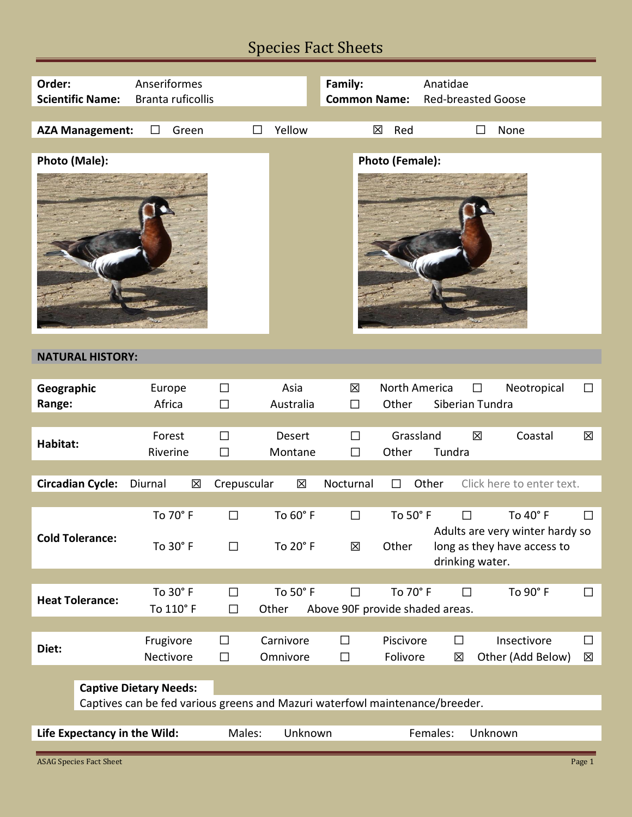# Species Fact Sheets

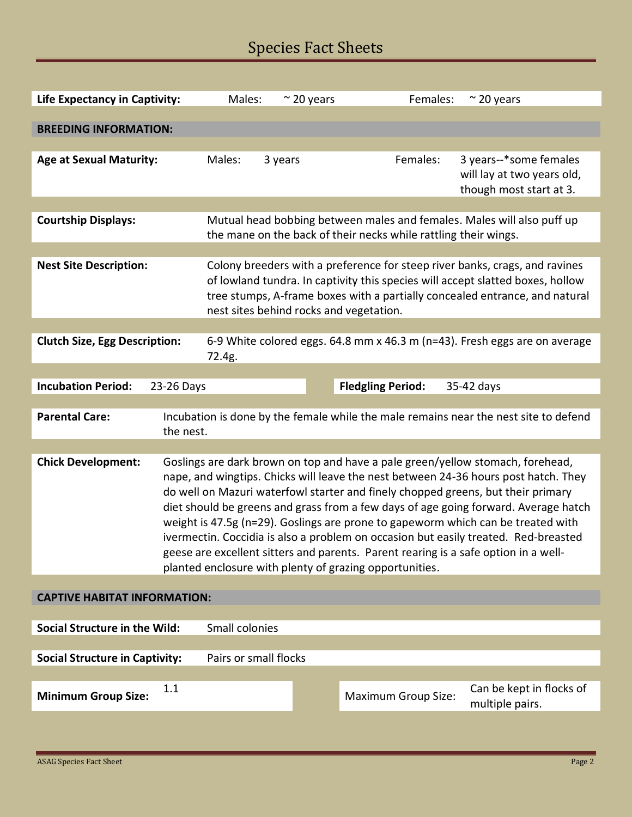# Species Fact Sheets

| <b>Life Expectancy in Captivity:</b>                                                                               | Males:                                                                                                                                                                  | $\approx$ 20 years | Females:                   | $\approx$ 20 years                                                             |  |
|--------------------------------------------------------------------------------------------------------------------|-------------------------------------------------------------------------------------------------------------------------------------------------------------------------|--------------------|----------------------------|--------------------------------------------------------------------------------|--|
|                                                                                                                    |                                                                                                                                                                         |                    |                            |                                                                                |  |
| <b>BREEDING INFORMATION:</b>                                                                                       |                                                                                                                                                                         |                    |                            |                                                                                |  |
| <b>Age at Sexual Maturity:</b>                                                                                     | Males:<br>3 years                                                                                                                                                       |                    | Females:                   | 3 years--*some females                                                         |  |
|                                                                                                                    |                                                                                                                                                                         |                    |                            | will lay at two years old,                                                     |  |
|                                                                                                                    |                                                                                                                                                                         |                    |                            | though most start at 3.                                                        |  |
|                                                                                                                    |                                                                                                                                                                         |                    |                            |                                                                                |  |
| <b>Courtship Displays:</b>                                                                                         | the mane on the back of their necks while rattling their wings.                                                                                                         |                    |                            | Mutual head bobbing between males and females. Males will also puff up         |  |
|                                                                                                                    |                                                                                                                                                                         |                    |                            |                                                                                |  |
| <b>Nest Site Description:</b>                                                                                      |                                                                                                                                                                         |                    |                            | Colony breeders with a preference for steep river banks, crags, and ravines    |  |
|                                                                                                                    |                                                                                                                                                                         |                    |                            | of lowland tundra. In captivity this species will accept slatted boxes, hollow |  |
|                                                                                                                    | tree stumps, A-frame boxes with a partially concealed entrance, and natural                                                                                             |                    |                            |                                                                                |  |
|                                                                                                                    | nest sites behind rocks and vegetation.                                                                                                                                 |                    |                            |                                                                                |  |
| 6-9 White colored eggs. 64.8 mm x 46.3 m (n=43). Fresh eggs are on average<br><b>Clutch Size, Egg Description:</b> |                                                                                                                                                                         |                    |                            |                                                                                |  |
|                                                                                                                    | 72.4g.                                                                                                                                                                  |                    |                            |                                                                                |  |
|                                                                                                                    |                                                                                                                                                                         |                    |                            |                                                                                |  |
| <b>Incubation Period:</b><br>23-26 Days                                                                            |                                                                                                                                                                         |                    | <b>Fledgling Period:</b>   | 35-42 days                                                                     |  |
| <b>Parental Care:</b>                                                                                              |                                                                                                                                                                         |                    |                            |                                                                                |  |
|                                                                                                                    | Incubation is done by the female while the male remains near the nest site to defend<br>the nest.                                                                       |                    |                            |                                                                                |  |
|                                                                                                                    |                                                                                                                                                                         |                    |                            |                                                                                |  |
| <b>Chick Development:</b>                                                                                          | Goslings are dark brown on top and have a pale green/yellow stomach, forehead,                                                                                          |                    |                            |                                                                                |  |
|                                                                                                                    | nape, and wingtips. Chicks will leave the nest between 24-36 hours post hatch. They                                                                                     |                    |                            |                                                                                |  |
|                                                                                                                    | do well on Mazuri waterfowl starter and finely chopped greens, but their primary                                                                                        |                    |                            |                                                                                |  |
|                                                                                                                    | diet should be greens and grass from a few days of age going forward. Average hatch<br>weight is 47.5g (n=29). Goslings are prone to gapeworm which can be treated with |                    |                            |                                                                                |  |
| ivermectin. Coccidia is also a problem on occasion but easily treated. Red-breasted                                |                                                                                                                                                                         |                    |                            |                                                                                |  |
| geese are excellent sitters and parents. Parent rearing is a safe option in a well-                                |                                                                                                                                                                         |                    |                            |                                                                                |  |
| planted enclosure with plenty of grazing opportunities.                                                            |                                                                                                                                                                         |                    |                            |                                                                                |  |
|                                                                                                                    |                                                                                                                                                                         |                    |                            |                                                                                |  |
| <b>CAPTIVE HABITAT INFORMATION:</b>                                                                                |                                                                                                                                                                         |                    |                            |                                                                                |  |
| <b>Social Structure in the Wild:</b><br>Small colonies                                                             |                                                                                                                                                                         |                    |                            |                                                                                |  |
|                                                                                                                    |                                                                                                                                                                         |                    |                            |                                                                                |  |
| <b>Social Structure in Captivity:</b><br>Pairs or small flocks                                                     |                                                                                                                                                                         |                    |                            |                                                                                |  |
|                                                                                                                    |                                                                                                                                                                         |                    |                            |                                                                                |  |
| 1.1<br><b>Minimum Group Size:</b>                                                                                  |                                                                                                                                                                         |                    | <b>Maximum Group Size:</b> | Can be kept in flocks of<br>multiple pairs.                                    |  |
|                                                                                                                    |                                                                                                                                                                         |                    |                            |                                                                                |  |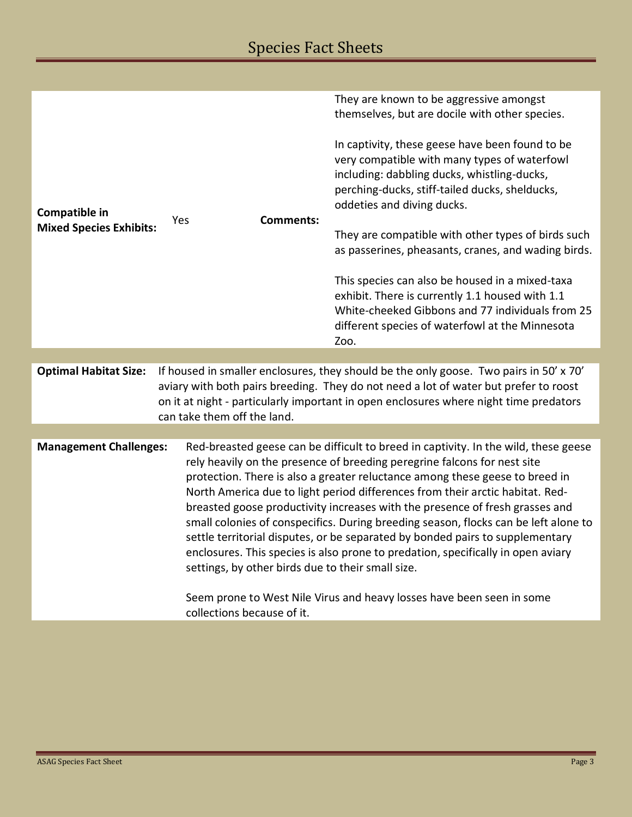| Compatible in<br><b>Mixed Species Exhibits:</b>                                                                                                                                                                                                                                                                                                                                                                                                                                                                                                                                                                                                                                                                                                                                                                                             | <b>Comments:</b><br>Yes                                                                                                                                                                                      | They are known to be aggressive amongst<br>themselves, but are docile with other species.<br>In captivity, these geese have been found to be<br>very compatible with many types of waterfowl<br>including: dabbling ducks, whistling-ducks,<br>perching-ducks, stiff-tailed ducks, shelducks,<br>oddeties and diving ducks.<br>They are compatible with other types of birds such<br>as passerines, pheasants, cranes, and wading birds.<br>This species can also be housed in a mixed-taxa<br>exhibit. There is currently 1.1 housed with 1.1<br>White-cheeked Gibbons and 77 individuals from 25<br>different species of waterfowl at the Minnesota<br>Zoo. |  |  |  |
|---------------------------------------------------------------------------------------------------------------------------------------------------------------------------------------------------------------------------------------------------------------------------------------------------------------------------------------------------------------------------------------------------------------------------------------------------------------------------------------------------------------------------------------------------------------------------------------------------------------------------------------------------------------------------------------------------------------------------------------------------------------------------------------------------------------------------------------------|--------------------------------------------------------------------------------------------------------------------------------------------------------------------------------------------------------------|---------------------------------------------------------------------------------------------------------------------------------------------------------------------------------------------------------------------------------------------------------------------------------------------------------------------------------------------------------------------------------------------------------------------------------------------------------------------------------------------------------------------------------------------------------------------------------------------------------------------------------------------------------------|--|--|--|
| If housed in smaller enclosures, they should be the only goose. Two pairs in 50' x 70'<br><b>Optimal Habitat Size:</b>                                                                                                                                                                                                                                                                                                                                                                                                                                                                                                                                                                                                                                                                                                                      |                                                                                                                                                                                                              |                                                                                                                                                                                                                                                                                                                                                                                                                                                                                                                                                                                                                                                               |  |  |  |
|                                                                                                                                                                                                                                                                                                                                                                                                                                                                                                                                                                                                                                                                                                                                                                                                                                             | aviary with both pairs breeding. They do not need a lot of water but prefer to roost<br>on it at night - particularly important in open enclosures where night time predators<br>can take them off the land. |                                                                                                                                                                                                                                                                                                                                                                                                                                                                                                                                                                                                                                                               |  |  |  |
|                                                                                                                                                                                                                                                                                                                                                                                                                                                                                                                                                                                                                                                                                                                                                                                                                                             |                                                                                                                                                                                                              |                                                                                                                                                                                                                                                                                                                                                                                                                                                                                                                                                                                                                                                               |  |  |  |
| <b>Management Challenges:</b><br>Red-breasted geese can be difficult to breed in captivity. In the wild, these geese<br>rely heavily on the presence of breeding peregrine falcons for nest site<br>protection. There is also a greater reluctance among these geese to breed in<br>North America due to light period differences from their arctic habitat. Red-<br>breasted goose productivity increases with the presence of fresh grasses and<br>small colonies of conspecifics. During breeding season, flocks can be left alone to<br>settle territorial disputes, or be separated by bonded pairs to supplementary<br>enclosures. This species is also prone to predation, specifically in open aviary<br>settings, by other birds due to their small size.<br>Seem prone to West Nile Virus and heavy losses have been seen in some |                                                                                                                                                                                                              |                                                                                                                                                                                                                                                                                                                                                                                                                                                                                                                                                                                                                                                               |  |  |  |
|                                                                                                                                                                                                                                                                                                                                                                                                                                                                                                                                                                                                                                                                                                                                                                                                                                             | collections because of it.                                                                                                                                                                                   |                                                                                                                                                                                                                                                                                                                                                                                                                                                                                                                                                                                                                                                               |  |  |  |